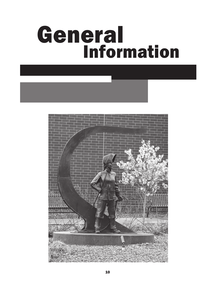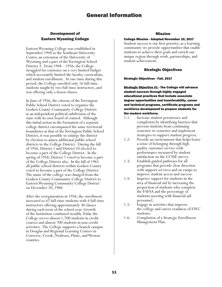# Development of Eastern Wyoming College

Eastern Wyoming College was established in September 1948 as the Southeast University Center, an extension of the University of Wyoming and a part of the Torrington School District 3. From 1948 – 1956, the College struggled for existence on a very limited budget which necessarily limited the faculty, curriculum, and student enrollment. At one time during this period, the College enrolled only 16 full-time students taught by two full-time instructors, and was offering only a dozen classes.

In June of 1956, the citizens of the Torrington Public School District voted to organize the Goshen County Community College District as an independent political subdivision of the state with its own board of control. Although this initial action in the formation of a separate college district encompassed the same territorial boundaries as that of the Torrington Public School District, it was possible to enlarge the district by election to annex additional public school districts to the College District. During the fall of 1956, District 1 and District 10 elected to become a part of the College District. In the spring of 1958, District 7 voted to become a part of the College District also. In the fall of 1965 all public school districts within Goshen County voted to become a part of the College District. The name of the college was changed from the Goshen County Community College District to Eastern Wyoming Community College District on December 20, 1968.

After the reorganization in 1956, the enrollment increased to 62 full-time students with 4 full-time instructors offering approximately 30 classes during each term of the school year. Growth of the institution continued steadily. Today the College serves almost 1,700 students in credit courses and almost 700 students in non-credit activities. The College supports a branch campus in Douglas and Regional Learning Centers in Converse, Crook, Niobrara, Platte, and Weston counties.

## Mission

## College Mission - Adopted November 10, 2017

Student success is our first priority; as a learning community we provide opportunities that enable students to achieve their goals and enrich our unique region through work, partnerships, and student achievement.

# Strategic Objectives

## Strategic Objectives - Fall, 2017

Strategic Objective #1 - The College will advance student success through highly engaged educational practices that include associate degree opportunities and transferability, career and technical programs, certificate programs and workforce development to prepare students for the modern workforce.

- 1.1: Increase student persistence and completion by identifying barriers that prevent students from continuing semester-to-semester and implement strategies to support student progress.
- 1.2: Provide an environment that helps foster a sense of belonging through high quality customer service with performance measured by student satisfaction on the CCSSE survey.
- 1.3: Establish guided pathways for all programs that provide clear direction with support services and on ramps to improve student access and success.
- 1.4: Improve support for students in the area of financial aid by increasing the proportion of students who complete the FAFSA and the percentage of students meeting with financial aid personnel.
- 1.5: Engage in activities that improve the college and career readiness of EWC students.
- 1.6: Completion of a Strategic Enrollment Management Plan.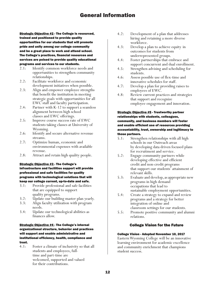Strategic Objective #2 - The College is resourced, trained and positioned to provide quality opportunities for our students that will promote pride and unity among our college community and be a great place to work and attend school. The College's practices, financial resources and services are poised to provide quality educational programs and services to our students.

- 2.1: Identify common workforce needs and opportunities to strengthen community relationships.
- 2.2: Facilitate workforce and economic development initiatives when possible.
- 2.3: Align and empower employee strengths that benefit the institution in meeting strategic goals with opportunities for all EWC staff and faculty participation.
- 2.4: Partner with K-12 to support a seamless alignment between high school classes and EWC offerings.
- 2.5: Improve course success rate of EWC students taking classes at University of Wyoming.
- 2.6: Identify and secure alternative revenue streams.
- 2.7: Optimize human, economic and environmental expenses with available revenue.
- 2.8: Attract and retain high quality people.

### Strategic Objective #3 - The College's

# infrastructure and facilities support will provide professional and safe facilities for quality programs with technological solutions that will keep our college current, up-to-date and safe.

- 3.1: Provide professional and safe facilities that are equipped to support quality programs.
- 3.2: Update our building master plan yearly.
- 3.3: Align faculty utilization with program needs.
- 3.4: Update our technological abilities as finances allow.

# Strategic Objective #4 - The College's internal organizational structure, behavior and practices will support and enable administrative and institutional efficiency, health, compliance and trust.

4.1: Foster a climate of inclusivity so that all students and employees, fulltime and part-time are welcomed, supported and valued for their contributions.

- 4.2: Development of a plan that addresses hiring and retaining a more diverse workforce.
- 4.3: Develop a plan to achieve equity in outcomes for students from underrepresented groups.
- 4.4: Foster partnerships that embrace and support concurrent and dual enrollment.
- 4.5: Strengthen advising and scheduling for students.
- 4.6: Assess possible use of flex-time and innovative schedules for staff.
- 4.7: Develop a plan for providing raises to employees of EWC.
- 4.8: Review current practices and strategies that support and recognize employee engagement and innovation.

## **Strategic Objective #5 - Trustworthy partner** relationships with students, colleagues, community, and business members will foster and enable efficient use of resources providing accountability, trust, ownership and legitimacy to those partners.

- 5.1: Strengthen relationships with all high schools in our Outreach areas by developing data driven focused plans for recruitment and service.
- 5.2: Engage community partners while developing effective and efficient credit and non-credit programs that support our students' attainment of relevant skills.
- 5.3: Evaluate and develop, as appropriate new programs in high demand occupations that lead to sustainable employment opportunities.
- 5.4: Create a strategy to expand and review programs and a strategy for better integration of online and classroom settings for our students.
- 5.5: Promote positive community and alumni relations.

# College Vision for the Future

## College Vision - Adopted November 10, 2017

Eastern Wyoming College will be an innovative learning environment for academic excellence and community enrichment that champions student success.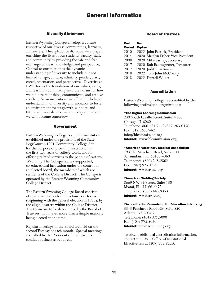# Diversity Statement

Eastern Wyoming College envelops a culture respective of our diverse communities, learners, and society. Through active dialogue we engage in enriching the lives of our students, faculty, staff, and community by providing the safe and free exchange of ideas, knowledge, and perspective. Central to our mission is the dynamic understanding of diversity to include but not limited to: age, culture, ethnicity, gender, class, creed, orientation, and perspective. Diversity at EWC forms the foundation of our values, skills, and learning- culminating into the norms for how we build relationships, communicate, and resolve conflict. As an institution, we affirm the holistic understanding of diversity and endeavor to foster an environment for its growth, support, and future as it reveals who we are today and whom we will become tomorrow.

## Government

Eastern Wyoming College is a public institution established under the provisions of the State Legislature's 1951 Community College Act for the purpose of providing instruction in the first two years of college work, and for offering related services to the people of eastern Wyoming. The College is a tax-supported, co-educational institution under the control of an elected board, the members of which are residents of the College District. The College is operated by the Eastern Wyoming Community College District.

The Eastern Wyoming College Board consists of seven members elected to four year terms (beginning with the general election in 1988), by the eligible voters within the College District. The terms are to be determined by the Board of Trustees, with never more than a simple majority being elected at one time.

Regular meetings of the Board are held on the second Tuesday of each month. Special meetings are called by the President of the Board to conduct business as required.

# Board of Trustees

| First          | Term                                |
|----------------|-------------------------------------|
| <b>Elected</b> | <b>Expires</b>                      |
| 2010           | 2022 John Patrick, President        |
| 2014           | 2020 Marilyn Fisher, Vice President |
| 2008           | 2020 Mike Varney, Secretary         |
| 2017           | 2020 Bob Baumgartner, Treasurer     |
| 2017           | 2020 Judith Bartmann                |
| 2018           | 2022 Tom John McCreery              |
| 2018           | 2022 Darrell Wilkes                 |

## Accreditation

Eastern Wyoming College is accredited by the following professional organizations:

### \*The Higher Learning Commission

230 South LaSalle Street, Suite 7-500 Chicago, IL 60604 Telephone: 800.621.7440/312.263.0456 Fax: 312.263.7462 info@hlcommission.org Internet: www.hlcommission.org

#### \*American Veterinary Medical Association

1931 N. Meacham Road, Suite 100 Schaumburg, IL 60173-4360 Telephone: (800) 248.2862 Fax: (847) 925.1329 Internet: www.avma.org

### \*American Welding Society

8669 NW 36 Street, Suite 130 Miami, FL 33166-6672 Telephone: (800) 443.9353 Internet: www.aws.org

### \*Accreditation Commision for Education in Nursing

3343 Peachtree Road NE, Suite 850 Atlanta, GA 30326 Telephone: (404) 975.5000 Fax: (404) 975.5020 Internet: www.acenursing.org

To obtain additional accreditation information, contact the EWC Office of Institutional Effectiveness at (307) 532.8220.